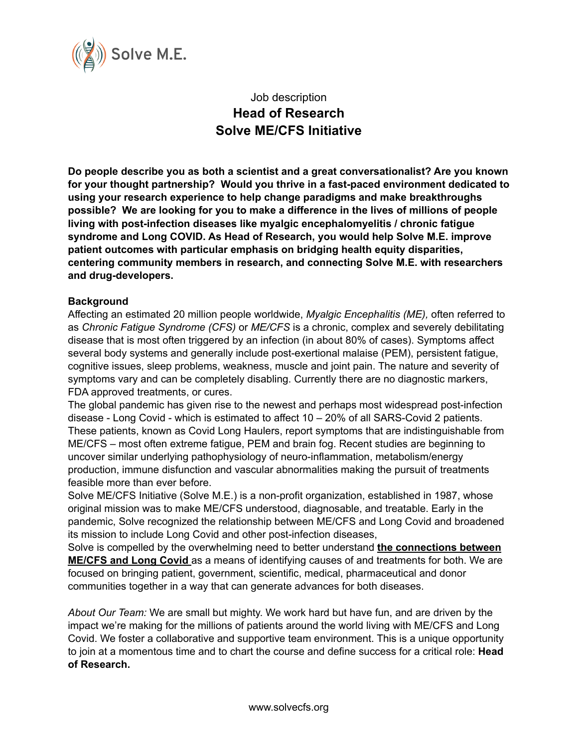

# Job description **Head of Research Solve ME/CFS Initiative**

**Do people describe you as both a scientist and a great conversationalist? Are you known for your thought partnership? Would you thrive in a fast-paced environment dedicated to using your research experience to help change paradigms and make breakthroughs possible? We are looking for you to make a difference in the lives of millions of people living with post-infection diseases like myalgic encephalomyelitis / chronic fatigue syndrome and Long COVID. As Head of Research, you would help Solve M.E. improve patient outcomes with particular emphasis on bridging health equity disparities, centering community members in research, and connecting Solve M.E. with researchers and drug-developers.**

### **Background**

Affecting an estimated 20 million people worldwide, *Myalgic Encephalitis (ME),* often referred to as *Chronic Fatigue Syndrome (CFS)* or *ME/CFS* is a chronic, complex and severely debilitating disease that is most often triggered by an infection (in about 80% of cases). Symptoms affect several body systems and generally include post-exertional malaise (PEM), persistent fatigue, cognitive issues, sleep problems, weakness, muscle and joint pain. The nature and severity of symptoms vary and can be completely disabling. Currently there are no diagnostic markers, FDA approved treatments, or cures.

The global pandemic has given rise to the newest and perhaps most widespread post-infection disease - Long Covid - which is estimated to affect 10 – 20% of all SARS-Covid 2 patients. These patients, known as Covid Long Haulers, report symptoms that are indistinguishable from ME/CFS – most often extreme fatigue, PEM and brain fog. Recent studies are beginning to uncover similar underlying pathophysiology of neuro-inflammation, metabolism/energy production, immune disfunction and vascular abnormalities making the pursuit of treatments feasible more than ever before.

Solve ME/CFS Initiative (Solve M.E.) is a non-profit organization, established in 1987, whose original mission was to make ME/CFS understood, diagnosable, and treatable. Early in the pandemic, Solve recognized the relationship between ME/CFS and Long Covid and broadened its mission to include Long Covid and other post-infection diseases,

Solve is compelled by the overwhelming need to better understand **the connections between ME/CFS and Long Covid** as a means of identifying causes of and treatments for both. We are focused on bringing patient, government, scientific, medical, pharmaceutical and donor communities together in a way that can generate advances for both diseases.

*About Our Team:* We are small but mighty. We work hard but have fun, and are driven by the impact we're making for the millions of patients around the world living with ME/CFS and Long Covid. We foster a collaborative and supportive team environment. This is a unique opportunity to join at a momentous time and to chart the course and define success for a critical role: **Head of Research.**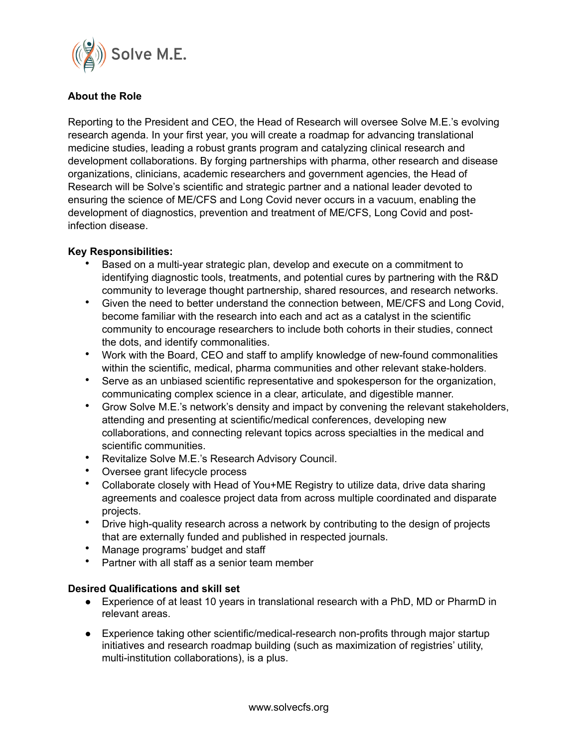

## **About the Role**

Reporting to the President and CEO, the Head of Research will oversee Solve M.E.'s evolving research agenda. In your first year, you will create a roadmap for advancing translational medicine studies, leading a robust grants program and catalyzing clinical research and development collaborations. By forging partnerships with pharma, other research and disease organizations, clinicians, academic researchers and government agencies, the Head of Research will be Solve's scientific and strategic partner and a national leader devoted to ensuring the science of ME/CFS and Long Covid never occurs in a vacuum, enabling the development of diagnostics, prevention and treatment of ME/CFS, Long Covid and postinfection disease.

### **Key Responsibilities:**

- Based on a multi-year strategic plan, develop and execute on a commitment to identifying diagnostic tools, treatments, and potential cures by partnering with the R&D community to leverage thought partnership, shared resources, and research networks.
- Given the need to better understand the connection between, ME/CFS and Long Covid, become familiar with the research into each and act as a catalyst in the scientific community to encourage researchers to include both cohorts in their studies, connect the dots, and identify commonalities.
- Work with the Board, CEO and staff to amplify knowledge of new-found commonalities within the scientific, medical, pharma communities and other relevant stake-holders.
- Serve as an unbiased scientific representative and spokesperson for the organization, communicating complex science in a clear, articulate, and digestible manner.
- Grow Solve M.E.'s network's density and impact by convening the relevant stakeholders, attending and presenting at scientific/medical conferences, developing new collaborations, and connecting relevant topics across specialties in the medical and scientific communities.
- Revitalize Solve M.E.'s Research Advisory Council.
- Oversee grant lifecycle process
- Collaborate closely with Head of You+ME Registry to utilize data, drive data sharing agreements and coalesce project data from across multiple coordinated and disparate projects.
- Drive high-quality research across a network by contributing to the design of projects that are externally funded and published in respected journals.
- Manage programs' budget and staff
- Partner with all staff as a senior team member

### **Desired Qualifications and skill set**

- Experience of at least 10 years in translational research with a PhD, MD or PharmD in relevant areas.
- Experience taking other scientific/medical-research non-profits through major startup initiatives and research roadmap building (such as maximization of registries' utility, multi-institution collaborations), is a plus.